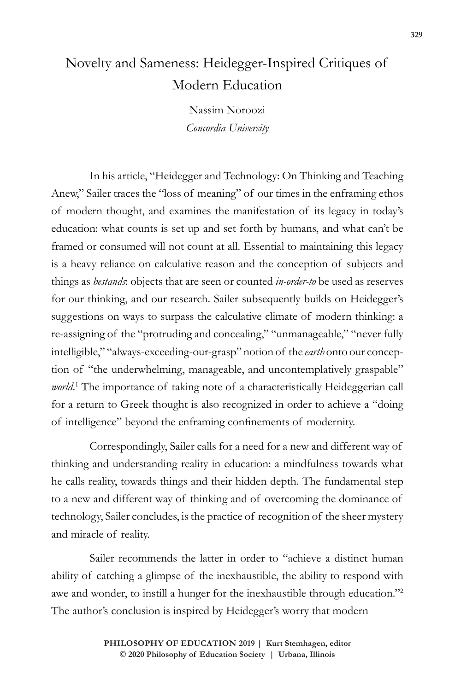## Novelty and Sameness: Heidegger-Inspired Critiques of Modern Education

Nassim Noroozi *Concordia University*

In his article, "Heidegger and Technology: On Thinking and Teaching Anew," Sailer traces the "loss of meaning" of our times in the enframing ethos of modern thought, and examines the manifestation of its legacy in today's education: what counts is set up and set forth by humans, and what can't be framed or consumed will not count at all. Essential to maintaining this legacy is a heavy reliance on calculative reason and the conception of subjects and things as *bestands*: objects that are seen or counted *in-order-to* be used as reserves for our thinking, and our research. Sailer subsequently builds on Heidegger's suggestions on ways to surpass the calculative climate of modern thinking: a re-assigning of the "protruding and concealing," "unmanageable," "never fully intelligible," "always-exceeding-our-grasp" notion of the *earth* onto our conception of "the underwhelming, manageable, and uncontemplatively graspable" world.<sup>1</sup> The importance of taking note of a characteristically Heideggerian call for a return to Greek thought is also recognized in order to achieve a "doing of intelligence" beyond the enframing confinements of modernity.

Correspondingly, Sailer calls for a need for a new and different way of thinking and understanding reality in education: a mindfulness towards what he calls reality, towards things and their hidden depth. The fundamental step to a new and different way of thinking and of overcoming the dominance of technology, Sailer concludes, is the practice of recognition of the sheer mystery and miracle of reality.

Sailer recommends the latter in order to "achieve a distinct human ability of catching a glimpse of the inexhaustible, the ability to respond with awe and wonder, to instill a hunger for the inexhaustible through education."2 The author's conclusion is inspired by Heidegger's worry that modern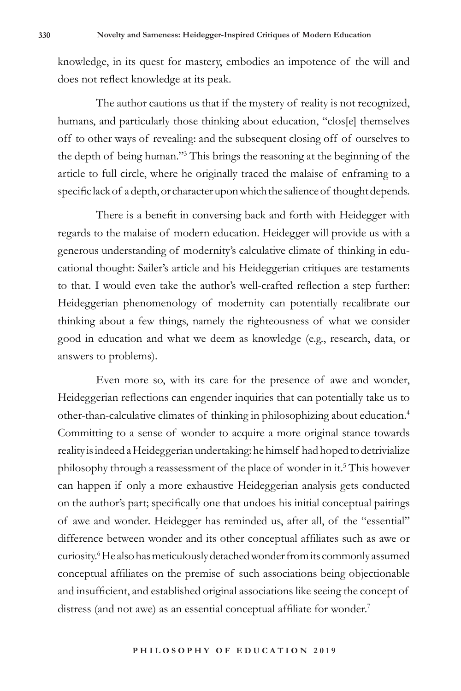knowledge, in its quest for mastery, embodies an impotence of the will and does not reflect knowledge at its peak.

The author cautions us that if the mystery of reality is not recognized, humans, and particularly those thinking about education, "clos[e] themselves off to other ways of revealing: and the subsequent closing off of ourselves to the depth of being human."3 This brings the reasoning at the beginning of the article to full circle, where he originally traced the malaise of enframing to a specific lack of a depth, or character upon which the salience of thought depends.

There is a benefit in conversing back and forth with Heidegger with regards to the malaise of modern education. Heidegger will provide us with a generous understanding of modernity's calculative climate of thinking in educational thought: Sailer's article and his Heideggerian critiques are testaments to that. I would even take the author's well-crafted reflection a step further: Heideggerian phenomenology of modernity can potentially recalibrate our thinking about a few things, namely the righteousness of what we consider good in education and what we deem as knowledge (e.g., research, data, or answers to problems).

Even more so, with its care for the presence of awe and wonder, Heideggerian reflections can engender inquiries that can potentially take us to other-than-calculative climates of thinking in philosophizing about education.4 Committing to a sense of wonder to acquire a more original stance towards reality is indeed a Heideggerian undertaking: he himself had hoped to detrivialize philosophy through a reassessment of the place of wonder in it.<sup>5</sup> This however can happen if only a more exhaustive Heideggerian analysis gets conducted on the author's part; specifically one that undoes his initial conceptual pairings of awe and wonder. Heidegger has reminded us, after all, of the "essential" difference between wonder and its other conceptual affiliates such as awe or curiosity.6 He also has meticulously detached wonder from its commonly assumed conceptual affiliates on the premise of such associations being objectionable and insufficient, and established original associations like seeing the concept of distress (and not awe) as an essential conceptual affiliate for wonder.<sup>7</sup>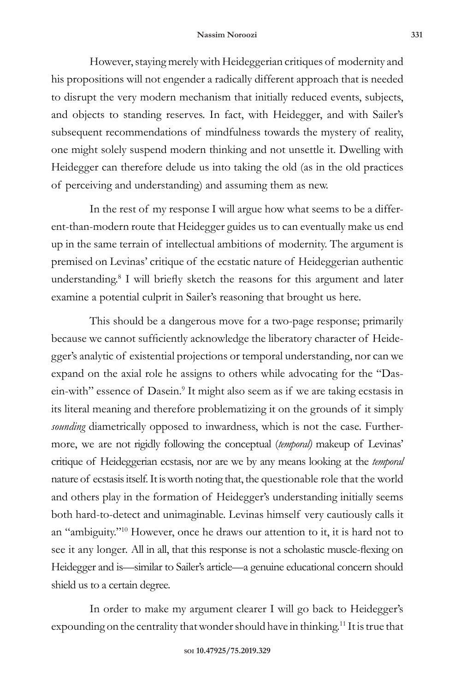However, staying merely with Heideggerian critiques of modernity and his propositions will not engender a radically different approach that is needed to disrupt the very modern mechanism that initially reduced events, subjects, and objects to standing reserves. In fact, with Heidegger, and with Sailer's subsequent recommendations of mindfulness towards the mystery of reality, one might solely suspend modern thinking and not unsettle it. Dwelling with Heidegger can therefore delude us into taking the old (as in the old practices of perceiving and understanding) and assuming them as new.

In the rest of my response I will argue how what seems to be a different-than-modern route that Heidegger guides us to can eventually make us end up in the same terrain of intellectual ambitions of modernity. The argument is premised on Levinas' critique of the ecstatic nature of Heideggerian authentic understanding.<sup>8</sup> I will briefly sketch the reasons for this argument and later examine a potential culprit in Sailer's reasoning that brought us here.

This should be a dangerous move for a two-page response; primarily because we cannot sufficiently acknowledge the liberatory character of Heidegger's analytic of existential projections or temporal understanding, nor can we expand on the axial role he assigns to others while advocating for the "Dasein-with" essence of Dasein.<sup>9</sup> It might also seem as if we are taking ecstasis in its literal meaning and therefore problematizing it on the grounds of it simply *sounding* diametrically opposed to inwardness, which is not the case. Furthermore, we are not rigidly following the conceptual (*temporal)* makeup of Levinas' critique of Heideggerian ecstasis, nor are we by any means looking at the *temporal* nature of ecstasis itself. It is worth noting that, the questionable role that the world and others play in the formation of Heidegger's understanding initially seems both hard-to-detect and unimaginable. Levinas himself very cautiously calls it an "ambiguity."10 However, once he draws our attention to it, it is hard not to see it any longer. All in all, that this response is not a scholastic muscle-flexing on Heidegger and is—similar to Sailer's article—a genuine educational concern should shield us to a certain degree.

In order to make my argument clearer I will go back to Heidegger's expounding on the centrality that wonder should have in thinking.<sup>11</sup> It is true that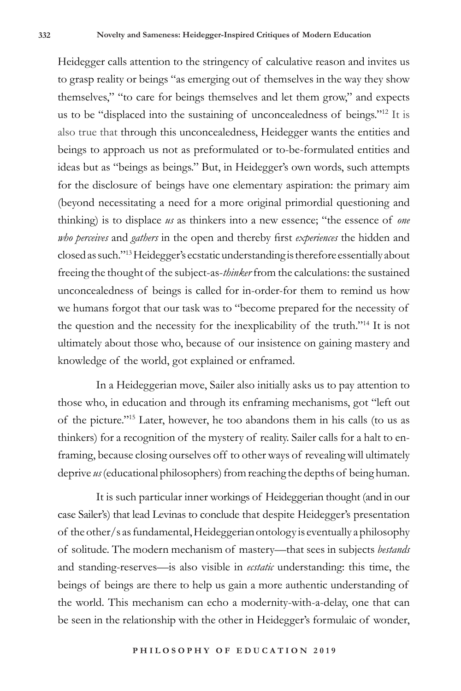Heidegger calls attention to the stringency of calculative reason and invites us to grasp reality or beings "as emerging out of themselves in the way they show themselves," "to care for beings themselves and let them grow," and expects us to be "displaced into the sustaining of unconcealedness of beings."12 It is also true that through this unconcealedness, Heidegger wants the entities and beings to approach us not as preformulated or to-be-formulated entities and ideas but as "beings as beings." But, in Heidegger's own words, such attempts for the disclosure of beings have one elementary aspiration: the primary aim (beyond necessitating a need for a more original primordial questioning and thinking) is to displace *us* as thinkers into a new essence; "the essence of *one who perceives* and *gathers* in the open and thereby first *experiences* the hidden and closed as such."13 Heidegger's ecstatic understanding is therefore essentially about freeing the thought of the subject-as-*thinker* from the calculations: the sustained unconcealedness of beings is called for in-order-for them to remind us how we humans forgot that our task was to "become prepared for the necessity of the question and the necessity for the inexplicability of the truth."14 It is not ultimately about those who, because of our insistence on gaining mastery and knowledge of the world, got explained or enframed.

In a Heideggerian move, Sailer also initially asks us to pay attention to those who, in education and through its enframing mechanisms, got "left out of the picture."15 Later, however, he too abandons them in his calls (to us as thinkers) for a recognition of the mystery of reality. Sailer calls for a halt to enframing, because closing ourselves off to other ways of revealing will ultimately deprive *us* (educational philosophers) from reaching the depths of being human.

It is such particular inner workings of Heideggerian thought (and in our case Sailer's) that lead Levinas to conclude that despite Heidegger's presentation of the other/s as fundamental, Heideggerian ontology is eventually a philosophy of solitude. The modern mechanism of mastery—that sees in subjects *bestands* and standing-reserves—is also visible in *ecstatic* understanding: this time, the beings of beings are there to help us gain a more authentic understanding of the world. This mechanism can echo a modernity-with-a-delay, one that can be seen in the relationship with the other in Heidegger's formulaic of wonder,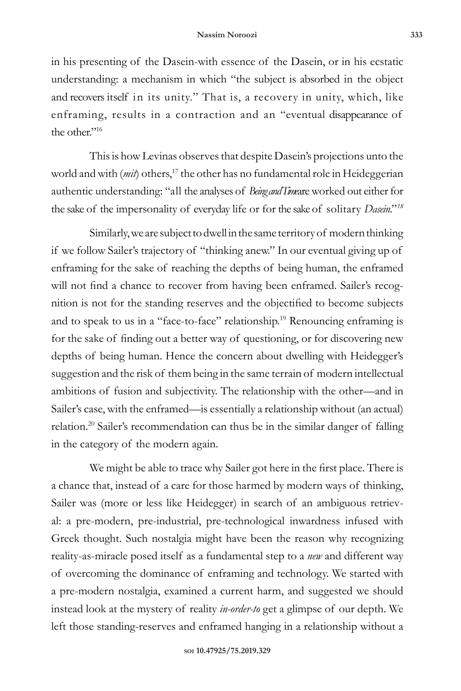in his presenting of the Dasein-with essence of the Dasein, or in his ecstatic understanding: a mechanism in which "the subject is absorbed in the object and recovers itself in its unity." That is, a recovery in unity, which, like enframing, results in a contraction and an "eventual disappearance of the other."16

This is how Levinas observes that despite Dasein's projections unto the world and with (*mit*) others,<sup>17</sup> the other has no fundamental role in Heideggerian authentic understanding: "all the analyses of *Being and Timeare* worked out either for the sake of the impersonality of everyday life or for the sake of solitary *Dasein*."*<sup>18</sup>*

Similarly, we are subject to dwell in the same territory of modern thinking if we follow Sailer's trajectory of "thinking anew." In our eventual giving up of enframing for the sake of reaching the depths of being human, the enframed will not find a chance to recover from having been enframed. Sailer's recognition is not for the standing reserves and the objectified to become subjects and to speak to us in a "face-to-face" relationship.<sup>19</sup> Renouncing enframing is for the sake of finding out a better way of questioning, or for discovering new depths of being human. Hence the concern about dwelling with Heidegger's suggestion and the risk of them being in the same terrain of modern intellectual ambitions of fusion and subjectivity. The relationship with the other—and in Sailer's case, with the enframed—is essentially a relationship without (an actual) relation.<sup>20</sup> Sailer's recommendation can thus be in the similar danger of falling in the category of the modern again.

We might be able to trace why Sailer got here in the first place. There is a chance that, instead of a care for those harmed by modern ways of thinking, Sailer was (more or less like Heidegger) in search of an ambiguous retrieval: a pre-modern, pre-industrial, pre-technological inwardness infused with Greek thought. Such nostalgia might have been the reason why recognizing reality-as-miracle posed itself as a fundamental step to a *new* and different way of overcoming the dominance of enframing and technology. We started with a pre-modern nostalgia, examined a current harm, and suggested we should instead look at the mystery of reality *in-order-to* get a glimpse of our depth. We left those standing-reserves and enframed hanging in a relationship without a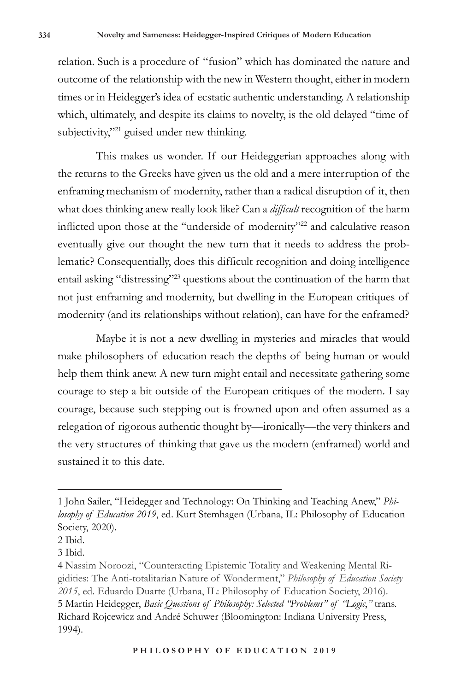relation. Such is a procedure of "fusion" which has dominated the nature and outcome of the relationship with the new in Western thought, either in modern times or in Heidegger's idea of ecstatic authentic understanding. A relationship which, ultimately, and despite its claims to novelty, is the old delayed "time of subjectivity,"<sup>21</sup> guised under new thinking.

This makes us wonder. If our Heideggerian approaches along with the returns to the Greeks have given us the old and a mere interruption of the enframing mechanism of modernity, rather than a radical disruption of it, then what does thinking anew really look like? Can a *difficult* recognition of the harm inflicted upon those at the "underside of modernity"22 and calculative reason eventually give our thought the new turn that it needs to address the problematic? Consequentially, does this difficult recognition and doing intelligence entail asking "distressing"23 questions about the continuation of the harm that not just enframing and modernity, but dwelling in the European critiques of modernity (and its relationships without relation), can have for the enframed?

Maybe it is not a new dwelling in mysteries and miracles that would make philosophers of education reach the depths of being human or would help them think anew. A new turn might entail and necessitate gathering some courage to step a bit outside of the European critiques of the modern. I say courage, because such stepping out is frowned upon and often assumed as a relegation of rigorous authentic thought by—ironically—the very thinkers and the very structures of thinking that gave us the modern (enframed) world and sustained it to this date.

<sup>1</sup> John Sailer, "Heidegger and Technology: On Thinking and Teaching Anew," *Philosophy of Education 2019*, ed. Kurt Stemhagen (Urbana, IL: Philosophy of Education Society, 2020).

<sup>2</sup> Ibid.

<sup>3</sup> Ibid.

<sup>4</sup> Nassim Noroozi, "Counteracting Epistemic Totality and Weakening Mental Rigidities: The Anti-totalitarian Nature of Wonderment," *Philosophy of Education Society 2015*, ed. Eduardo Duarte (Urbana, IL: Philosophy of Education Society, 2016). 5 Martin Heidegger, *Basic Questions of Philosophy: Selected "Problems" of "Logic*,*"* trans. Richard Rojcewicz and André Schuwer (Bloomington: Indiana University Press, 1994).